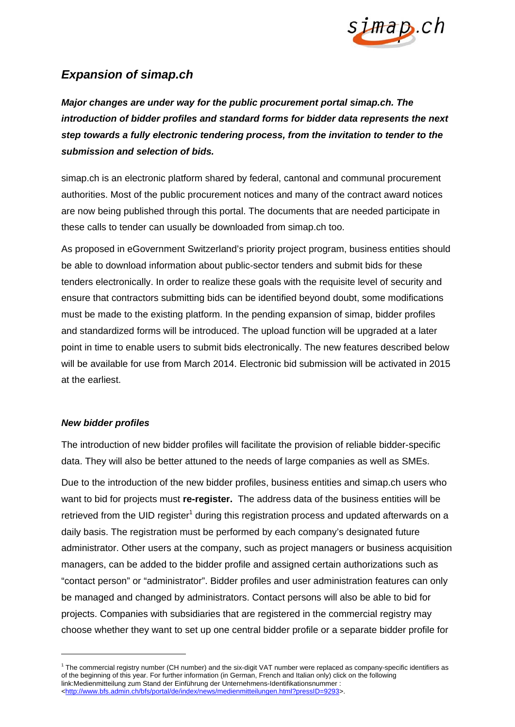

## *Expansion of simap.ch*

*Major changes are under way for the public procurement portal simap.ch. The introduction of bidder profiles and standard forms for bidder data represents the next step towards a fully electronic tendering process, from the invitation to tender to the submission and selection of bids.* 

simap.ch is an electronic platform shared by federal, cantonal and communal procurement authorities. Most of the public procurement notices and many of the contract award notices are now being published through this portal. The documents that are needed participate in these calls to tender can usually be downloaded from simap.ch too.

As proposed in eGovernment Switzerland's priority project program, business entities should be able to download information about public-sector tenders and submit bids for these tenders electronically. In order to realize these goals with the requisite level of security and ensure that contractors submitting bids can be identified beyond doubt, some modifications must be made to the existing platform. In the pending expansion of simap, bidder profiles and standardized forms will be introduced. The upload function will be upgraded at a later point in time to enable users to submit bids electronically. The new features described below will be available for use from March 2014. Electronic bid submission will be activated in 2015 at the earliest.

## *New bidder profiles*

-

The introduction of new bidder profiles will facilitate the provision of reliable bidder-specific data. They will also be better attuned to the needs of large companies as well as SMEs.

Due to the introduction of the new bidder profiles, business entities and simap.ch users who want to bid for projects must **re-register.** The address data of the business entities will be retrieved from the UID register<sup>1</sup> during this registration process and updated afterwards on a daily basis. The registration must be performed by each company's designated future administrator. Other users at the company, such as project managers or business acquisition managers, can be added to the bidder profile and assigned certain authorizations such as "contact person" or "administrator". Bidder profiles and user administration features can only be managed and changed by administrators. Contact persons will also be able to bid for projects. Companies with subsidiaries that are registered in the commercial registry may choose whether they want to set up one central bidder profile or a separate bidder profile for

<sup>&</sup>lt;sup>1</sup> The commercial registry number (CH number) and the six-digit VAT number were replaced as company-specific identifiers as of the beginning of this year. For further information (in German, French and Italian only) click on the following link:Medienmitteilung zum Stand der Einführung der Unternehmens-Identifikationsnummer : <http://www.bfs.admin.ch/bfs/portal/de/index/news/medienmitteilungen.html?pressID=9293>.